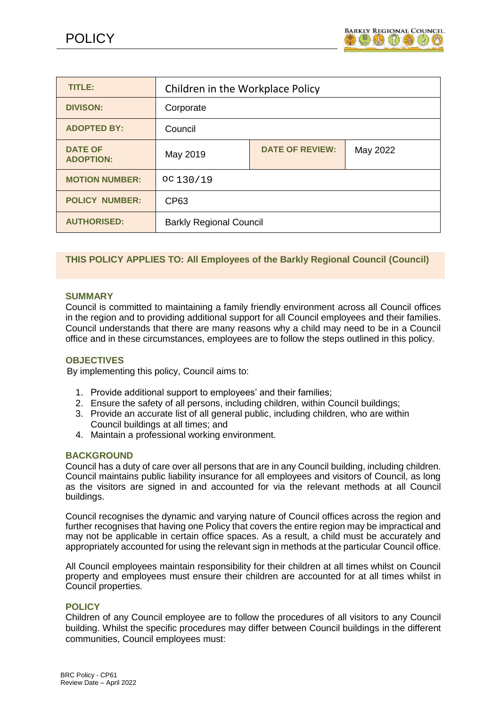

| TITLE:                             | Children in the Workplace Policy |                        |          |
|------------------------------------|----------------------------------|------------------------|----------|
| <b>DIVISON:</b>                    | Corporate                        |                        |          |
| <b>ADOPTED BY:</b>                 | Council                          |                        |          |
| <b>DATE OF</b><br><b>ADOPTION:</b> | May 2019                         | <b>DATE OF REVIEW:</b> | May 2022 |
| <b>MOTION NUMBER:</b>              | OC130/19                         |                        |          |
| <b>POLICY NUMBER:</b>              | CP63                             |                        |          |
| <b>AUTHORISED:</b>                 | <b>Barkly Regional Council</b>   |                        |          |

### **THIS POLICY APPLIES TO: All Employees of the Barkly Regional Council (Council)**

#### **SUMMARY**

Council is committed to maintaining a family friendly environment across all Council offices in the region and to providing additional support for all Council employees and their families. Council understands that there are many reasons why a child may need to be in a Council office and in these circumstances, employees are to follow the steps outlined in this policy.

#### **OBJECTIVES**

By implementing this policy, Council aims to:

- 1. Provide additional support to employees' and their families;
- 2. Ensure the safety of all persons, including children, within Council buildings;
- 3. Provide an accurate list of all general public, including children, who are within Council buildings at all times; and
- 4. Maintain a professional working environment.

#### **BACKGROUND**

Council has a duty of care over all persons that are in any Council building, including children. Council maintains public liability insurance for all employees and visitors of Council, as long as the visitors are signed in and accounted for via the relevant methods at all Council buildings.

Council recognises the dynamic and varying nature of Council offices across the region and further recognises that having one Policy that covers the entire region may be impractical and may not be applicable in certain office spaces. As a result, a child must be accurately and appropriately accounted for using the relevant sign in methods at the particular Council office.

All Council employees maintain responsibility for their children at all times whilst on Council property and employees must ensure their children are accounted for at all times whilst in Council properties.

#### **POLICY**

Children of any Council employee are to follow the procedures of all visitors to any Council building. Whilst the specific procedures may differ between Council buildings in the different communities, Council employees must: